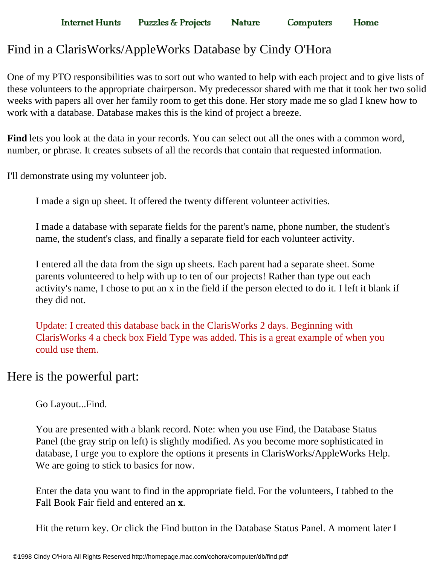# Find in a ClarisWorks/AppleWorks Database by Cindy O'Hora

One of my PTO responsibilities was to sort out who wanted to help with each project and to give lists of these volunteers to the appropriate chairperson. My predecessor shared with me that it took her two solid weeks with papers all over her family room to get this done. Her story made me so glad I knew how to work with a database. Database makes this is the kind of project a breeze.

**Computers** 

Home

**Find** lets you look at the data in your records. You can select out all the ones with a common word, number, or phrase. It creates subsets of all the records that contain that requested information.

I'll demonstrate using my volunteer job.

I made a sign up sheet. It offered the twenty different volunteer activities.

I made a database with separate fields for the parent's name, phone number, the student's name, the student's class, and finally a separate field for each volunteer activity.

I entered all the data from the sign up sheets. Each parent had a separate sheet. Some parents volunteered to help with up to ten of our projects! Rather than type out each activity's name, I chose to put an x in the field if the person elected to do it. I left it blank if they did not.

Update: I created this database back in the ClarisWorks 2 days. Beginning with ClarisWorks 4 a check box Field Type was added. This is a great example of when you could use them.

# Here is the powerful part:

Go Layout...Find.

You are presented with a blank record. Note: when you use Find, the Database Status Panel (the gray strip on left) is slightly modified. As you become more sophisticated in database, I urge you to explore the options it presents in ClarisWorks/AppleWorks Help. We are going to stick to basics for now.

Enter the data you want to find in the appropriate field. For the volunteers, I tabbed to the Fall Book Fair field and entered an **x**.

Hit the return key. Or click the Find button in the Database Status Panel. A moment later I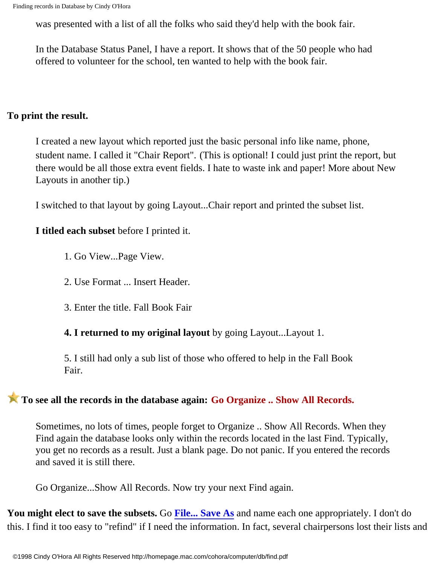was presented with a list of all the folks who said they'd help with the book fair.

In the Database Status Panel, I have a report. It shows that of the 50 people who had offered to volunteer for the school, ten wanted to help with the book fair.

#### **To print the result.**

I created a new layout which reported just the basic personal info like name, phone, student name. I called it "Chair Report". (This is optional! I could just print the report, but there would be all those extra event fields. I hate to waste ink and paper! More about New Layouts in another tip.)

I switched to that layout by going Layout...Chair report and printed the subset list.

# **I titled each subset** before I printed it.

- 1. Go View...Page View.
- 2. Use Format ... Insert Header.
- 3. Enter the title. Fall Book Fair

**4. I returned to my original layout** by going Layout...Layout 1.

5. I still had only a sub list of those who offered to help in the Fall Book Fair.

# **To see all the records in the database again: Go Organize .. Show All Records.**

Sometimes, no lots of times, people forget to Organize .. Show All Records. When they Find again the database looks only within the records located in the last Find. Typically, you get no records as a result. Just a blank page. Do not panic. If you entered the records and saved it is still there.

Go Organize...Show All Records. Now try your next Find again.

**You might elect to save the subsets.** Go **[File... Save As](http://homepage.mac.com/cohora/computer/saveas.pdf)** and name each one appropriately. I don't do this. I find it too easy to "refind" if I need the information. In fact, several chairpersons lost their lists and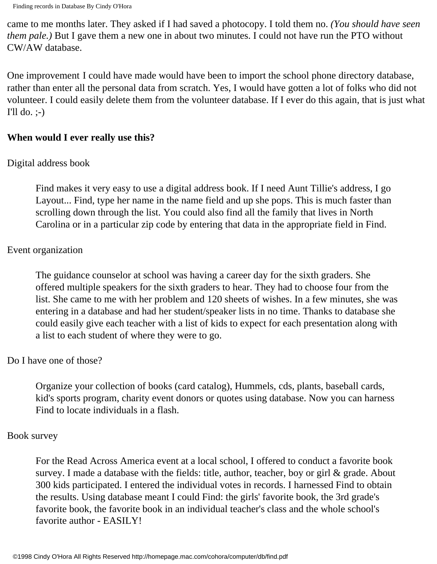Finding records in Database By Cindy O'Hora

came to me months later. They asked if I had saved a photocopy. I told them no. *(You should have seen them pale.)* But I gave them a new one in about two minutes. I could not have run the PTO without CW/AW database.

One improvement I could have made would have been to import the school phone directory database, rather than enter all the personal data from scratch. Yes, I would have gotten a lot of folks who did not volunteer. I could easily delete them from the volunteer database. If I ever do this again, that is just what I'll do.  $;-$ 

# **When would I ever really use this?**

# Digital address book

Find makes it very easy to use a digital address book. If I need Aunt Tillie's address, I go Layout... Find, type her name in the name field and up she pops. This is much faster than scrolling down through the list. You could also find all the family that lives in North Carolina or in a particular zip code by entering that data in the appropriate field in Find.

# Event organization

The guidance counselor at school was having a career day for the sixth graders. She offered multiple speakers for the sixth graders to hear. They had to choose four from the list. She came to me with her problem and 120 sheets of wishes. In a few minutes, she was entering in a database and had her student/speaker lists in no time. Thanks to database she could easily give each teacher with a list of kids to expect for each presentation along with a list to each student of where they were to go.

# Do I have one of those?

Organize your collection of books (card catalog), Hummels, cds, plants, baseball cards, kid's sports program, charity event donors or quotes using database. Now you can harness Find to locate individuals in a flash.

# Book survey

For the Read Across America event at a local school, I offered to conduct a favorite book survey. I made a database with the fields: title, author, teacher, boy or girl & grade. About 300 kids participated. I entered the individual votes in records. I harnessed Find to obtain the results. Using database meant I could Find: the girls' favorite book, the 3rd grade's favorite book, the favorite book in an individual teacher's class and the whole school's favorite author - EASILY!